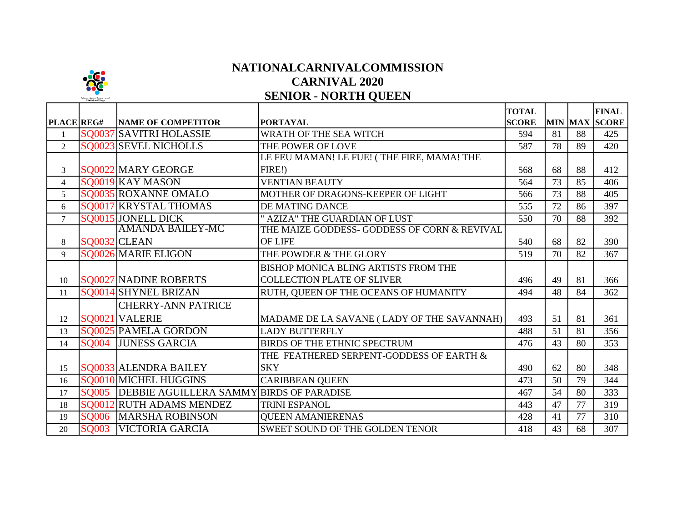

## **NATIONALCARNIVALCOMMISSION CARNIVAL 2020 SENIOR - NORTH QUEEN**

| PLACE REG#     |              | <b>NAME OF COMPETITOR</b>     | <b>PORTAYAL</b>                              | <b>TOTAL</b><br><b>SCORE</b> |    |    | <b>FINAL</b><br>MIN MAX SCORE |
|----------------|--------------|-------------------------------|----------------------------------------------|------------------------------|----|----|-------------------------------|
| $\mathbf{1}$   |              | SQ0037 SAVITRI HOLASSIE       | WRATH OF THE SEA WITCH                       | 594                          | 81 | 88 | 425                           |
| $\overline{2}$ |              | SQ0023 SEVEL NICHOLLS         | THE POWER OF LOVE                            | 587                          | 78 | 89 | 420                           |
|                |              |                               | LE FEU MAMAN! LE FUE! (THE FIRE, MAMA! THE   |                              |    |    |                               |
| 3              |              | SQ0022 MARY GEORGE            | FIRE!)                                       | 568                          | 68 | 88 | 412                           |
| $\overline{4}$ |              | SO0019 KAY MASON              | <b>VENTIAN BEAUTY</b>                        | 564                          | 73 | 85 | 406                           |
| 5              |              | SO0035 ROXANNE OMALO          | MOTHER OF DRAGONS-KEEPER OF LIGHT            | 566                          | 73 | 88 | 405                           |
| 6              |              | SQ0017 KRYSTAL THOMAS         | <b>DE MATING DANCE</b>                       | 555                          | 72 | 86 | 397                           |
| $\overline{7}$ |              | SQ0015 JONELL DICK            | " AZIZA" THE GUARDIAN OF LUST                | 550                          | 70 | 88 | 392                           |
|                |              | <b>AMANDA BAILEY-MC</b>       | THE MAIZE GODDESS- GODDESS OF CORN & REVIVAL |                              |    |    |                               |
| 8              |              | SQ0032 CLEAN                  | <b>OF LIFE</b>                               | 540                          | 68 | 82 | 390                           |
| 9              |              | SQ0026 MARIE ELIGON           | THE POWDER & THE GLORY                       | 519                          | 70 | 82 | 367                           |
|                |              |                               | <b>BISHOP MONICA BLING ARTISTS FROM THE</b>  |                              |    |    |                               |
| 10             |              | SQ0027 NADINE ROBERTS         | <b>COLLECTION PLATE OF SLIVER</b>            | 496                          | 49 | 81 | 366                           |
| 11             |              | SQ0014 SHYNEL BRIZAN          | RUTH, QUEEN OF THE OCEANS OF HUMANITY        | 494                          | 48 | 84 | 362                           |
|                |              | <b>CHERRY-ANN PATRICE</b>     |                                              |                              |    |    |                               |
| 12             |              | SQ0021 VALERIE                | MADAME DE LA SAVANE (LADY OF THE SAVANNAH)   | 493                          | 51 | 81 | 361                           |
| 13             |              | SQ0025 PAMELA GORDON          | <b>LADY BUTTERFLY</b>                        | 488                          | 51 | 81 | 356                           |
| 14             | <b>SO004</b> | <b>JUNESS GARCIA</b>          | <b>BIRDS OF THE ETHNIC SPECTRUM</b>          | 476                          | 43 | 80 | 353                           |
|                |              |                               | THE FEATHERED SERPENT-GODDESS OF EARTH &     |                              |    |    |                               |
| 15             |              | SO0033 ALENDRA BAILEY         | <b>SKY</b>                                   | 490                          | 62 | 80 | 348                           |
| 16             |              | SQ0010 MICHEL HUGGINS         | <b>CARIBBEAN QUEEN</b>                       | 473                          | 50 | 79 | 344                           |
| 17             | <b>SQ005</b> | <b>DEBBIE AGUILLERA SAMMY</b> | <b>BIRDS OF PARADISE</b>                     | 467                          | 54 | 80 | 333                           |
| 18             |              | SQ0012 RUTH ADAMS MENDEZ      | <b>TRINI ESPANOL</b>                         | 443                          | 47 | 77 | 319                           |
| 19             | <b>SO006</b> | <b>MARSHA ROBINSON</b>        | <b>OUEEN AMANIERENAS</b>                     | 428                          | 41 | 77 | 310                           |
| 20             | <b>SQ003</b> | <b>VICTORIA GARCIA</b>        | <b>SWEET SOUND OF THE GOLDEN TENOR</b>       | 418                          | 43 | 68 | 307                           |